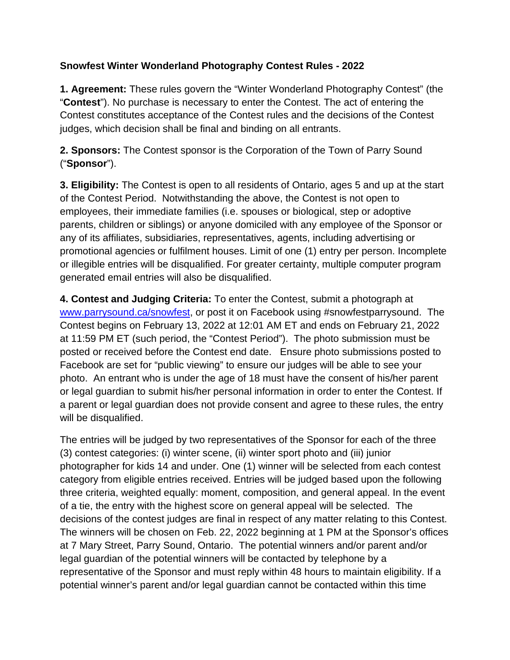## **Snowfest Winter Wonderland Photography Contest Rules - 2022**

**1. Agreement:** These rules govern the "Winter Wonderland Photography Contest" (the "**Contest**"). No purchase is necessary to enter the Contest. The act of entering the Contest constitutes acceptance of the Contest rules and the decisions of the Contest judges, which decision shall be final and binding on all entrants.

**2. Sponsors:** The Contest sponsor is the Corporation of the Town of Parry Sound ("**Sponsor**").

**3. Eligibility:** The Contest is open to all residents of Ontario, ages 5 and up at the start of the Contest Period. Notwithstanding the above, the Contest is not open to employees, their immediate families (i.e. spouses or biological, step or adoptive parents, children or siblings) or anyone domiciled with any employee of the Sponsor or any of its affiliates, subsidiaries, representatives, agents, including advertising or promotional agencies or fulfilment houses. Limit of one (1) entry per person. Incomplete or illegible entries will be disqualified. For greater certainty, multiple computer program generated email entries will also be disqualified.

**4. Contest and Judging Criteria:** To enter the Contest, submit a photograph at [www.parrysound.ca/snowfest,](http://www.parrysound.ca/snowfest) or post it on Facebook using #snowfestparrysound. The Contest begins on February 13, 2022 at 12:01 AM ET and ends on February 21, 2022 at 11:59 PM ET (such period, the "Contest Period"). The photo submission must be posted or received before the Contest end date. Ensure photo submissions posted to Facebook are set for "public viewing" to ensure our judges will be able to see your photo. An entrant who is under the age of 18 must have the consent of his/her parent or legal guardian to submit his/her personal information in order to enter the Contest. If a parent or legal guardian does not provide consent and agree to these rules, the entry will be disqualified.

The entries will be judged by two representatives of the Sponsor for each of the three (3) contest categories: (i) winter scene, (ii) winter sport photo and (iii) junior photographer for kids 14 and under. One (1) winner will be selected from each contest category from eligible entries received. Entries will be judged based upon the following three criteria, weighted equally: moment, composition, and general appeal. In the event of a tie, the entry with the highest score on general appeal will be selected. The decisions of the contest judges are final in respect of any matter relating to this Contest. The winners will be chosen on Feb. 22, 2022 beginning at 1 PM at the Sponsor's offices at 7 Mary Street, Parry Sound, Ontario.The potential winners and/or parent and/or legal guardian of the potential winners will be contacted by telephone by a representative of the Sponsor and must reply within 48 hours to maintain eligibility. If a potential winner's parent and/or legal guardian cannot be contacted within this time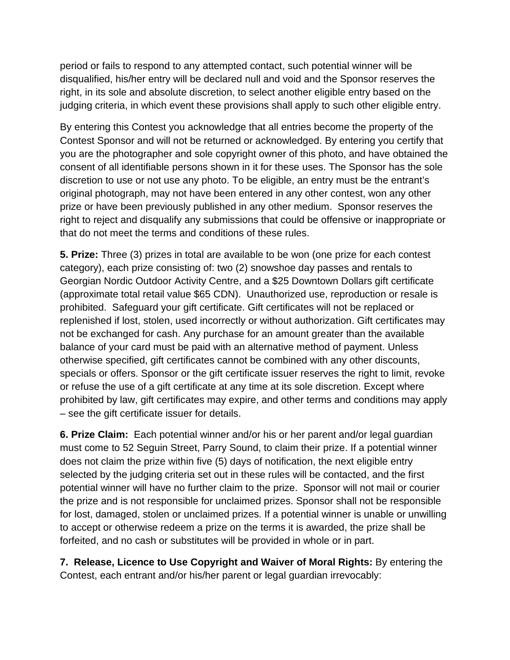period or fails to respond to any attempted contact, such potential winner will be disqualified, his/her entry will be declared null and void and the Sponsor reserves the right, in its sole and absolute discretion, to select another eligible entry based on the judging criteria, in which event these provisions shall apply to such other eligible entry.

By entering this Contest you acknowledge that all entries become the property of the Contest Sponsor and will not be returned or acknowledged. By entering you certify that you are the photographer and sole copyright owner of this photo, and have obtained the consent of all identifiable persons shown in it for these uses. The Sponsor has the sole discretion to use or not use any photo. To be eligible, an entry must be the entrant's original photograph, may not have been entered in any other contest, won any other prize or have been previously published in any other medium. Sponsor reserves the right to reject and disqualify any submissions that could be offensive or inappropriate or that do not meet the terms and conditions of these rules.

**5. Prize:** Three (3) prizes in total are available to be won (one prize for each contest category), each prize consisting of: two (2) snowshoe day passes and rentals to Georgian Nordic Outdoor Activity Centre, and a \$25 Downtown Dollars gift certificate (approximate total retail value \$65 CDN). Unauthorized use, reproduction or resale is prohibited. Safeguard your gift certificate. Gift certificates will not be replaced or replenished if lost, stolen, used incorrectly or without authorization. Gift certificates may not be exchanged for cash. Any purchase for an amount greater than the available balance of your card must be paid with an alternative method of payment. Unless otherwise specified, gift certificates cannot be combined with any other discounts, specials or offers. Sponsor or the gift certificate issuer reserves the right to limit, revoke or refuse the use of a gift certificate at any time at its sole discretion. Except where prohibited by law, gift certificates may expire, and other terms and conditions may apply – see the gift certificate issuer for details.

**6. Prize Claim:** Each potential winner and/or his or her parent and/or legal guardian must come to 52 Seguin Street, Parry Sound, to claim their prize. If a potential winner does not claim the prize within five (5) days of notification, the next eligible entry selected by the judging criteria set out in these rules will be contacted, and the first potential winner will have no further claim to the prize. Sponsor will not mail or courier the prize and is not responsible for unclaimed prizes. Sponsor shall not be responsible for lost, damaged, stolen or unclaimed prizes. If a potential winner is unable or unwilling to accept or otherwise redeem a prize on the terms it is awarded, the prize shall be forfeited, and no cash or substitutes will be provided in whole or in part.

**7. Release, Licence to Use Copyright and Waiver of Moral Rights:** By entering the Contest, each entrant and/or his/her parent or legal guardian irrevocably: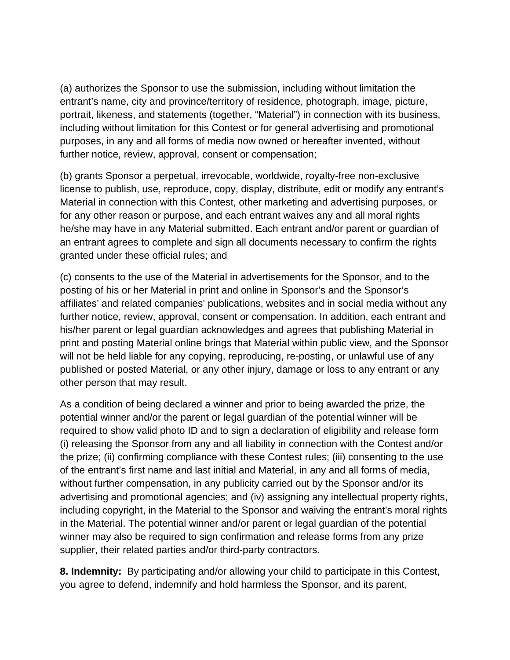(a) authorizes the Sponsor to use the submission, including without limitation the entrant's name, city and province/territory of residence, photograph, image, picture, portrait, likeness, and statements (together, "Material") in connection with its business, including without limitation for this Contest or for general advertising and promotional purposes, in any and all forms of media now owned or hereafter invented, without further notice, review, approval, consent or compensation;

(b) grants Sponsor a perpetual, irrevocable, worldwide, royalty-free non-exclusive license to publish, use, reproduce, copy, display, distribute, edit or modify any entrant's Material in connection with this Contest, other marketing and advertising purposes, or for any other reason or purpose, and each entrant waives any and all moral rights he/she may have in any Material submitted. Each entrant and/or parent or guardian of an entrant agrees to complete and sign all documents necessary to confirm the rights granted under these official rules; and

(c) consents to the use of the Material in advertisements for the Sponsor, and to the posting of his or her Material in print and online in Sponsor's and the Sponsor's affiliates' and related companies' publications, websites and in social media without any further notice, review, approval, consent or compensation. In addition, each entrant and his/her parent or legal guardian acknowledges and agrees that publishing Material in print and posting Material online brings that Material within public view, and the Sponsor will not be held liable for any copying, reproducing, re-posting, or unlawful use of any published or posted Material, or any other injury, damage or loss to any entrant or any other person that may result.

As a condition of being declared a winner and prior to being awarded the prize, the potential winner and/or the parent or legal guardian of the potential winner will be required to show valid photo ID and to sign a declaration of eligibility and release form (i) releasing the Sponsor from any and all liability in connection with the Contest and/or the prize; (ii) confirming compliance with these Contest rules; (iii) consenting to the use of the entrant's first name and last initial and Material, in any and all forms of media, without further compensation, in any publicity carried out by the Sponsor and/or its advertising and promotional agencies; and (iv) assigning any intellectual property rights, including copyright, in the Material to the Sponsor and waiving the entrant's moral rights in the Material. The potential winner and/or parent or legal guardian of the potential winner may also be required to sign confirmation and release forms from any prize supplier, their related parties and/or third-party contractors.

**8. Indemnity:** By participating and/or allowing your child to participate in this Contest, you agree to defend, indemnify and hold harmless the Sponsor, and its parent,